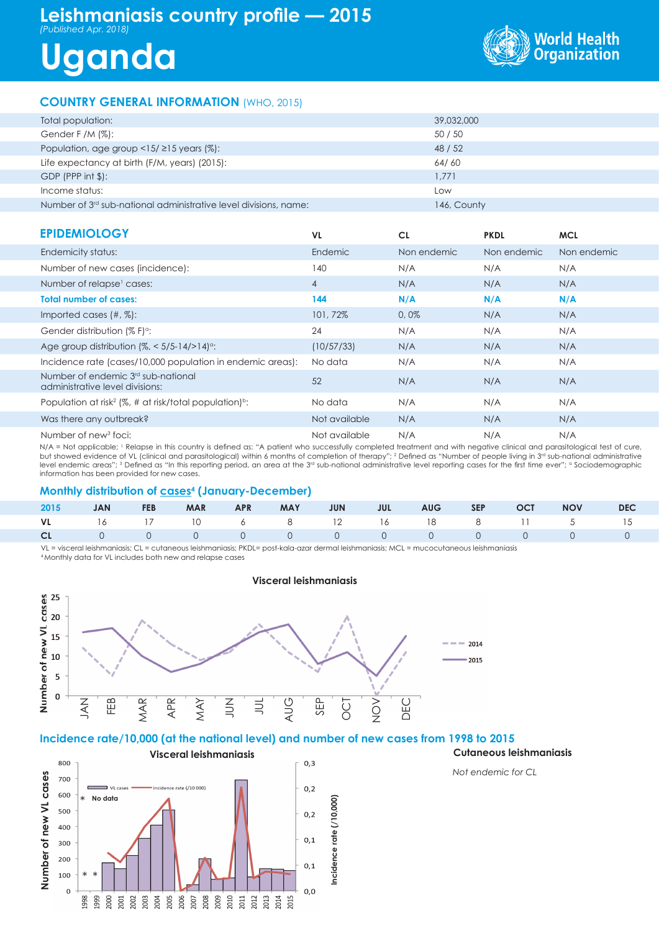## **Leishmaniasis country profile — 2015** *(Published Apr. 2018)*

# **Uganda**



#### **COUNTRY GENERAL INFORMATION** (WHO, 2015)

| 39,032,000<br>Total population:<br>Gender F /M $(\%)$ :<br>50 / 50<br>Population, age group $\langle 15/215 \rangle$ years (%):<br>48 / 52<br>Life expectancy at birth (F/M, years) (2015):<br>64/60 |  |
|------------------------------------------------------------------------------------------------------------------------------------------------------------------------------------------------------|--|
|                                                                                                                                                                                                      |  |
|                                                                                                                                                                                                      |  |
|                                                                                                                                                                                                      |  |
|                                                                                                                                                                                                      |  |
| $GDP$ (PPP int $$$ ):<br>1.771                                                                                                                                                                       |  |
| Income status:<br>Low                                                                                                                                                                                |  |
| Number of 3 <sup>rd</sup> sub-national administrative level divisions, name:<br>146, County                                                                                                          |  |

### **EPIDEMIOLOGY**

| <b>EPIDEMIOLOGY</b>                                                               | VL.            | <b>CL</b>   | <b>PKDL</b> | <b>MCL</b>  |
|-----------------------------------------------------------------------------------|----------------|-------------|-------------|-------------|
| Endemicity status:                                                                | Endemic        | Non endemic | Non endemic | Non endemic |
| Number of new cases (incidence):                                                  | 140            | N/A         | N/A         | N/A         |
| Number of relapse <sup>1</sup> cases:                                             | $\overline{4}$ | N/A         | N/A         | N/A         |
| <b>Total number of cases:</b>                                                     | 144            | N/A         | N/A         | N/A         |
| Imported cases $(\#,\%)$ :                                                        | 101,72%        | 0,0%        | N/A         | N/A         |
| Gender distribution (% F) <sup>o</sup> :                                          | 24             | N/A         | N/A         | N/A         |
| Age group distribution $\frac{1}{6}$ < 5/5-14/>14) <sup>o</sup> :                 | (10/57/33)     | N/A         | N/A         | N/A         |
| Incidence rate (cases/10,000 population in endemic areas):                        | No data        | N/A         | N/A         | N/A         |
| Number of endemic 3 <sup>rd</sup> sub-national<br>administrative level divisions: | 52             | N/A         | N/A         | N/A         |
| Population at risk <sup>2</sup> (%, # at risk/total population) <sup>b</sup> :    | No data        | N/A         | N/A         | N/A         |
| Was there any outbreak?                                                           | Not available  | N/A         | N/A         | N/A         |
| Number of new <sup>3</sup> foci:                                                  | Not available  | N/A         | N/A         | N/A         |

N/A = Not applicable; 1 Relapse in this country is defined as: "A patient who successfully completed treatment and with negative clinical and parasitological test of cure, but showed evidence of VL (clinical and parasitological) within 6 months of completion of therapy"; 2 Defined as "Number of people living in 3<sup>rd</sup> sub-national administrative level endemic areas"; 3 Defined as "In this reporting period, an area at the 3<sup>rd</sup> sub-national administrative level reporting cases for the first time ever"; <sup>a</sup> Sociodemographic information has been provided for new cases.

#### **Monthly distribution of cases<sup>4</sup> (January-December)**

|  |  |  |  |  | 2015 JAN FEB MAR APR MAY JUN JUL AUG SEP OCT NOV DEC |  |
|--|--|--|--|--|------------------------------------------------------|--|
|  |  |  |  |  | VL 16 17 10 6 8 12 16 18 8 11 5 15                   |  |
|  |  |  |  |  |                                                      |  |

VL = visceral leishmaniasis; CL = cutaneous leishmaniasis; PKDL= post-kala-azar dermal leishmaniasis; MCL = mucocutaneous leishmaniasis 4 Monthly data for VL includes both new and relapse cases

**Visceral leishmaniasis**



#### **Incidence rate/10,000 (at the national level) and number of new cases from 1998 to 2015**



*Not endemic for CL*

**Cutaneous leishmaniasis**